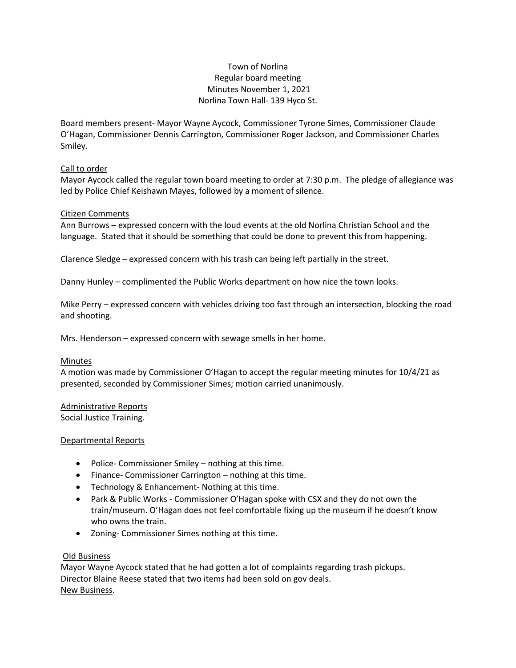# Town of Norlina Regular board meeting Minutes November 1, 2021 Norlina Town Hall- 139 Hyco St.

Board members present- Mayor Wayne Aycock, Commissioner Tyrone Simes, Commissioner Claude O'Hagan, Commissioner Dennis Carrington, Commissioner Roger Jackson, and Commissioner Charles Smiley.

### Call to order

Mayor Aycock called the regular town board meeting to order at 7:30 p.m. The pledge of allegiance was led by Police Chief Keishawn Mayes, followed by a moment of silence.

## Citizen Comments

Ann Burrows – expressed concern with the loud events at the old Norlina Christian School and the language. Stated that it should be something that could be done to prevent this from happening.

Clarence Sledge – expressed concern with his trash can being left partially in the street.

Danny Hunley – complimented the Public Works department on how nice the town looks.

Mike Perry – expressed concern with vehicles driving too fast through an intersection, blocking the road and shooting.

Mrs. Henderson – expressed concern with sewage smells in her home.

### Minutes

A motion was made by Commissioner O'Hagan to accept the regular meeting minutes for 10/4/21 as presented, seconded by Commissioner Simes; motion carried unanimously.

Administrative Reports Social Justice Training.

### Departmental Reports

- Police- Commissioner Smiley nothing at this time.
- Finance- Commissioner Carrington nothing at this time.
- Technology & Enhancement- Nothing at this time.
- Park & Public Works Commissioner O'Hagan spoke with CSX and they do not own the train/museum. O'Hagan does not feel comfortable fixing up the museum if he doesn't know who owns the train.
- Zoning- Commissioner Simes nothing at this time.

### Old Business

Mayor Wayne Aycock stated that he had gotten a lot of complaints regarding trash pickups. Director Blaine Reese stated that two items had been sold on gov deals. New Business.